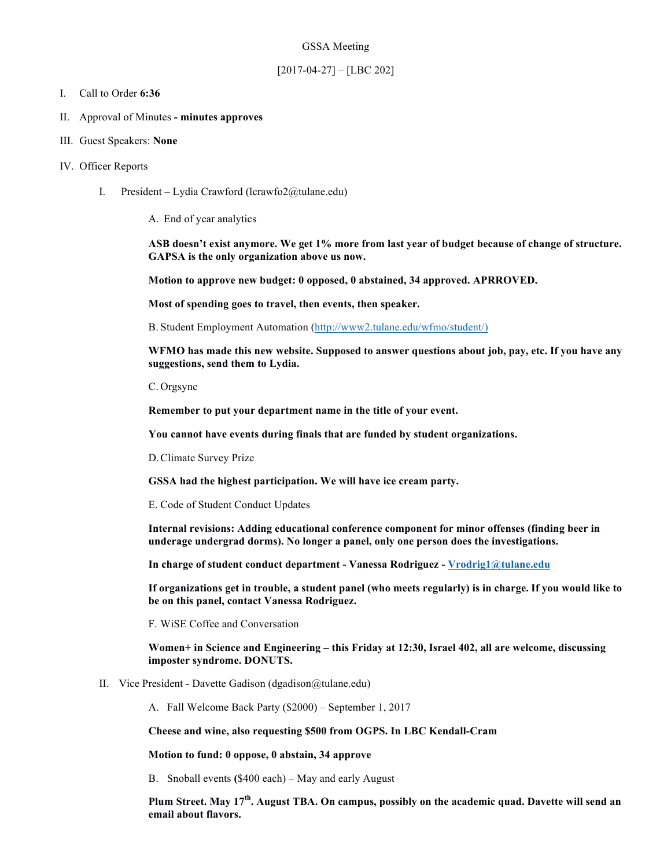### GSSA Meeting

# [2017-04-27] – [LBC 202]

## I. Call to Order **6:36**

- II. Approval of Minutes **- minutes approves**
- III. Guest Speakers: **None**
- IV. Officer Reports
	- I. President Lydia Crawford (lcrawfo2@tulane.edu)
		- A. End of year analytics

**ASB doesn't exist anymore. We get 1% more from last year of budget because of change of structure. GAPSA is the only organization above us now.** 

**Motion to approve new budget: 0 opposed, 0 abstained, 34 approved. APRROVED.**

**Most of spending goes to travel, then events, then speaker.**

B. Student Employment Automation (http://www2.tulane.edu/wfmo/student/)

**WFMO has made this new website. Supposed to answer questions about job, pay, etc. If you have any suggestions, send them to Lydia.**

C. Orgsync

**Remember to put your department name in the title of your event.** 

**You cannot have events during finals that are funded by student organizations.** 

D.Climate Survey Prize

**GSSA had the highest participation. We will have ice cream party.**

E. Code of Student Conduct Updates

**Internal revisions: Adding educational conference component for minor offenses (finding beer in underage undergrad dorms). No longer a panel, only one person does the investigations.**

**In charge of student conduct department - Vanessa Rodriguez - Vrodrig1@tulane.edu**

**If organizations get in trouble, a student panel (who meets regularly) is in charge. If you would like to be on this panel, contact Vanessa Rodriguez.**

F. WiSE Coffee and Conversation

**Women+ in Science and Engineering – this Friday at 12:30, Israel 402, all are welcome, discussing imposter syndrome. DONUTS.**

II. Vice President - Davette Gadison (dgadison@tulane.edu)

A. Fall Welcome Back Party (\$2000) – September 1, 2017

**Cheese and wine, also requesting \$500 from OGPS. In LBC Kendall-Cram**

**Motion to fund: 0 oppose, 0 abstain, 34 approve**

B. Snoball events **(**\$400 each) – May and early August

**Plum Street. May 17th. August TBA. On campus, possibly on the academic quad. Davette will send an email about flavors.**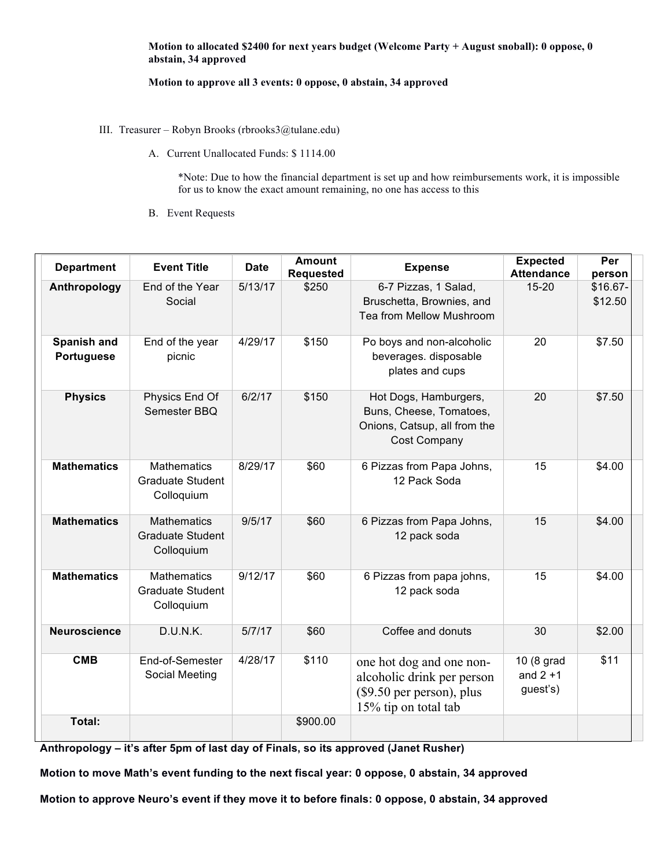## **Motion to allocated \$2400 for next years budget (Welcome Party + August snoball): 0 oppose, 0 abstain, 34 approved**

# **Motion to approve all 3 events: 0 oppose, 0 abstain, 34 approved**

- III. Treasurer Robyn Brooks (rbrooks3@tulane.edu)
	- A. Current Unallocated Funds: \$ 1114.00

\*Note: Due to how the financial department is set up and how reimbursements work, it is impossible for us to know the exact amount remaining, no one has access to this

B. Event Requests

| <b>Department</b>         | <b>Event Title</b>                                          | <b>Date</b> | <b>Amount</b><br><b>Requested</b> | <b>Expense</b>                                                                                              | <b>Expected</b><br><b>Attendance</b>  | Per<br>person       |
|---------------------------|-------------------------------------------------------------|-------------|-----------------------------------|-------------------------------------------------------------------------------------------------------------|---------------------------------------|---------------------|
| Anthropology              | End of the Year<br>Social                                   | 5/13/17     | \$250                             | 6-7 Pizzas, 1 Salad,<br>Bruschetta, Brownies, and<br>Tea from Mellow Mushroom                               | $15 - 20$                             | \$16.67-<br>\$12.50 |
| Spanish and<br>Portuguese | End of the year<br>picnic                                   | 4/29/17     | \$150                             | Po boys and non-alcoholic<br>beverages. disposable<br>plates and cups                                       | 20                                    | \$7.50              |
| <b>Physics</b>            | Physics End Of<br>Semester BBQ                              | 6/2/17      | \$150                             | Hot Dogs, Hamburgers,<br>Buns, Cheese, Tomatoes,<br>Onions, Catsup, all from the<br>Cost Company            | 20                                    | \$7.50              |
| <b>Mathematics</b>        | <b>Mathematics</b><br><b>Graduate Student</b><br>Colloquium | 8/29/17     | \$60                              | 6 Pizzas from Papa Johns,<br>12 Pack Soda                                                                   | 15                                    | \$4.00              |
| <b>Mathematics</b>        | <b>Mathematics</b><br><b>Graduate Student</b><br>Colloquium | 9/5/17      | \$60                              | 6 Pizzas from Papa Johns,<br>12 pack soda                                                                   | 15                                    | \$4.00              |
| <b>Mathematics</b>        | <b>Mathematics</b><br><b>Graduate Student</b><br>Colloquium | 9/12/17     | \$60                              | 6 Pizzas from papa johns,<br>12 pack soda                                                                   | 15                                    | \$4.00              |
| <b>Neuroscience</b>       | D.U.N.K.                                                    | 5/7/17      | \$60                              | Coffee and donuts                                                                                           | 30                                    | \$2.00              |
| <b>CMB</b>                | End-of-Semester<br>Social Meeting                           | 4/28/17     | \$110                             | one hot dog and one non-<br>alcoholic drink per person<br>(\$9.50 per person), plus<br>15% tip on total tab | 10 (8 grad<br>and $2 + 1$<br>guest's) | \$11                |
| Total:                    |                                                             |             | \$900.00                          |                                                                                                             |                                       |                     |

**Anthropology – it's after 5pm of last day of Finals, so its approved (Janet Rusher)**

**Motion to move Math's event funding to the next fiscal year: 0 oppose, 0 abstain, 34 approved**

**Motion to approve Neuro's event if they move it to before finals: 0 oppose, 0 abstain, 34 approved**